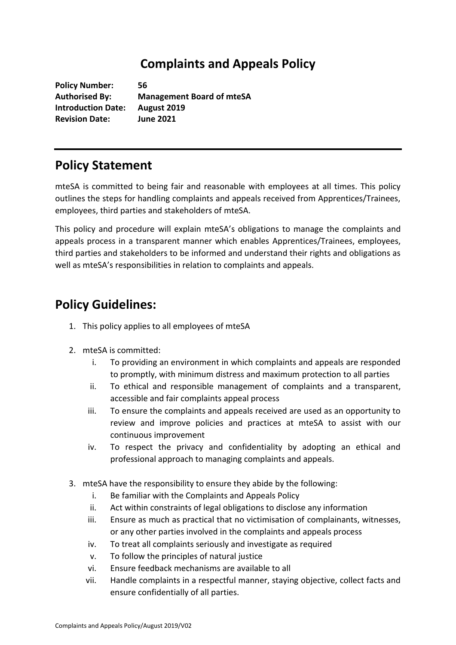## **Complaints and Appeals Policy**

**Policy Number: 56 Authorised By: Management Board of mteSA Introduction Date: August 2019 Revision Date: June 2021**

## **Policy Statement**

mteSA is committed to being fair and reasonable with employees at all times. This policy outlines the steps for handling complaints and appeals received from Apprentices/Trainees, employees, third parties and stakeholders of mteSA.

This policy and procedure will explain mteSA's obligations to manage the complaints and appeals process in a transparent manner which enables Apprentices/Trainees, employees, third parties and stakeholders to be informed and understand their rights and obligations as well as mteSA's responsibilities in relation to complaints and appeals.

## **Policy Guidelines:**

- 1. This policy applies to all employees of mteSA
- 2. mteSA is committed:
	- i. To providing an environment in which complaints and appeals are responded to promptly, with minimum distress and maximum protection to all parties
	- ii. To ethical and responsible management of complaints and a transparent, accessible and fair complaints appeal process
	- iii. To ensure the complaints and appeals received are used as an opportunity to review and improve policies and practices at mteSA to assist with our continuous improvement
	- iv. To respect the privacy and confidentiality by adopting an ethical and professional approach to managing complaints and appeals.
- 3. mteSA have the responsibility to ensure they abide by the following:
	- i. Be familiar with the Complaints and Appeals Policy
	- ii. Act within constraints of legal obligations to disclose any information
	- iii. Ensure as much as practical that no victimisation of complainants, witnesses, or any other parties involved in the complaints and appeals process
	- iv. To treat all complaints seriously and investigate as required
	- v. To follow the principles of natural justice
	- vi. Ensure feedback mechanisms are available to all
	- vii. Handle complaints in a respectful manner, staying objective, collect facts and ensure confidentially of all parties.